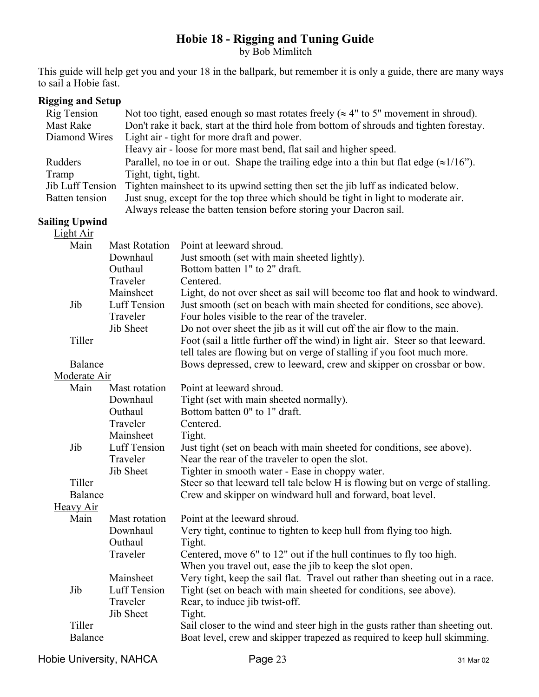# **Hobie 18 - Rigging and Tuning Guide** by Bob Mimlitch

This guide will help get you and your 18 in the ballpark, but remember it is only a guide, there are many ways to sail a Hobie fast.

### **Rigging and Setup**

| Rig Tension      | Not too tight, eased enough so mast rotates freely ( $\approx$ 4" to 5" movement in shroud).     |
|------------------|--------------------------------------------------------------------------------------------------|
| <b>Mast Rake</b> | Don't rake it back, start at the third hole from bottom of shrouds and tighten forestay.         |
| Diamond Wires    | Light air - tight for more draft and power.                                                      |
|                  | Heavy air - loose for more mast bend, flat sail and higher speed.                                |
| Rudders          | Parallel, no toe in or out. Shape the trailing edge into a thin but flat edge $(\approx 1/16)$ . |
| Tramp            | Tight, tight, tight.                                                                             |
| Jib Luff Tension | Tighten mainsheet to its upwind setting then set the jib luff as indicated below.                |
| Batten tension   | Just snug, except for the top three which should be tight in light to moderate air.              |
|                  | Always release the batten tension before storing your Dacron sail.                               |

## **Sailing Upwind**

| <b>Light Air</b>  |                                                           |                                                                                                                                                                                                                                                                                     |
|-------------------|-----------------------------------------------------------|-------------------------------------------------------------------------------------------------------------------------------------------------------------------------------------------------------------------------------------------------------------------------------------|
| Main              | <b>Mast Rotation</b>                                      | Point at leeward shroud.                                                                                                                                                                                                                                                            |
|                   | Downhaul                                                  | Just smooth (set with main sheeted lightly).                                                                                                                                                                                                                                        |
|                   | Outhaul                                                   | Bottom batten 1" to 2" draft.                                                                                                                                                                                                                                                       |
|                   | Traveler                                                  | Centered.                                                                                                                                                                                                                                                                           |
| Jib               | Mainsheet<br><b>Luff Tension</b><br>Traveler<br>Jib Sheet | Light, do not over sheet as sail will become too flat and hook to windward.<br>Just smooth (set on beach with main sheeted for conditions, see above).<br>Four holes visible to the rear of the traveler.<br>Do not over sheet the jib as it will cut off the air flow to the main. |
| Tiller            |                                                           | Foot (sail a little further off the wind) in light air. Steer so that leeward.<br>tell tales are flowing but on verge of stalling if you foot much more.                                                                                                                            |
| Balance           |                                                           | Bows depressed, crew to leeward, crew and skipper on crossbar or bow.                                                                                                                                                                                                               |
| Moderate Air      |                                                           |                                                                                                                                                                                                                                                                                     |
| Main              | Mast rotation                                             | Point at leeward shroud.                                                                                                                                                                                                                                                            |
|                   | Downhaul                                                  | Tight (set with main sheeted normally).                                                                                                                                                                                                                                             |
|                   | Outhaul                                                   | Bottom batten 0" to 1" draft.                                                                                                                                                                                                                                                       |
|                   | Traveler                                                  | Centered.                                                                                                                                                                                                                                                                           |
|                   | Mainsheet                                                 | Tight.                                                                                                                                                                                                                                                                              |
| Jib               | Luff Tension<br>Traveler                                  | Just tight (set on beach with main sheeted for conditions, see above).<br>Near the rear of the traveler to open the slot.                                                                                                                                                           |
|                   | Jib Sheet                                                 | Tighter in smooth water - Ease in choppy water.                                                                                                                                                                                                                                     |
| Tiller            |                                                           | Steer so that leeward tell tale below H is flowing but on verge of stalling.                                                                                                                                                                                                        |
| Balance           |                                                           | Crew and skipper on windward hull and forward, boat level.                                                                                                                                                                                                                          |
| <b>Heavy Air</b>  |                                                           |                                                                                                                                                                                                                                                                                     |
| Main              | Mast rotation                                             | Point at the leeward shroud.                                                                                                                                                                                                                                                        |
|                   | Downhaul                                                  | Very tight, continue to tighten to keep hull from flying too high.                                                                                                                                                                                                                  |
|                   | Outhaul                                                   | Tight.                                                                                                                                                                                                                                                                              |
|                   | Traveler                                                  | Centered, move 6" to 12" out if the hull continues to fly too high.<br>When you travel out, ease the jib to keep the slot open.                                                                                                                                                     |
|                   | Mainsheet                                                 | Very tight, keep the sail flat. Travel out rather than sheeting out in a race.                                                                                                                                                                                                      |
| Jib               | <b>Luff Tension</b>                                       | Tight (set on beach with main sheeted for conditions, see above).                                                                                                                                                                                                                   |
|                   | Traveler                                                  | Rear, to induce jib twist-off.                                                                                                                                                                                                                                                      |
|                   | Jib Sheet                                                 | Tight.                                                                                                                                                                                                                                                                              |
| Tiller<br>Balance |                                                           | Sail closer to the wind and steer high in the gusts rather than sheeting out.<br>Boat level, crew and skipper trapezed as required to keep hull skimming.                                                                                                                           |

Hobie University, NAHCA Page 23 31 Mar 02